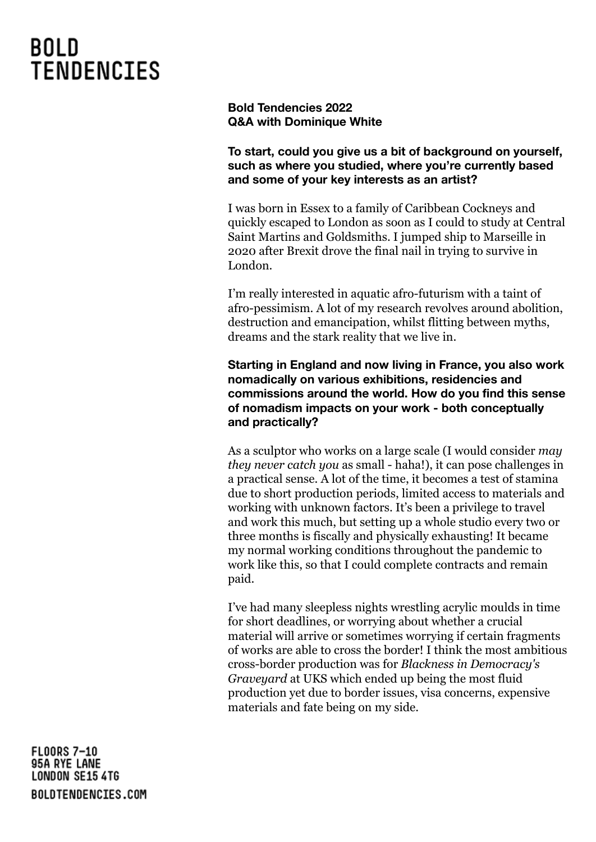**Bold Tendencies 2022 Q&A with Dominique White**

**To start, could you give us a bit of background on yourself, such as where you studied, where you're currently based and some of your key interests as an artist?**

I was born in Essex to a family of Caribbean Cockneys and quickly escaped to London as soon as I could to study at Central Saint Martins and Goldsmiths. I jumped ship to Marseille in 2020 after Brexit drove the final nail in trying to survive in London.

I'm really interested in aquatic afro-futurism with a taint of afro-pessimism. A lot of my research revolves around abolition, destruction and emancipation, whilst flitting between myths, dreams and the stark reality that we live in.

**Starting in England and now living in France, you also work nomadically on various exhibitions, residencies and commissions around the world. How do you find this sense of nomadism impacts on your work - both conceptually and practically?**

As a sculptor who works on a large scale (I would consider *may they never catch you* as small - haha!), it can pose challenges in a practical sense. A lot of the time, it becomes a test of stamina due to short production periods, limited access to materials and working with unknown factors. It's been a privilege to travel and work this much, but setting up a whole studio every two or three months is fiscally and physically exhausting! It became my normal working conditions throughout the pandemic to work like this, so that I could complete contracts and remain paid.

I've had many sleepless nights wrestling acrylic moulds in time for short deadlines, or worrying about whether a crucial material will arrive or sometimes worrying if certain fragments of works are able to cross the border! I think the most ambitious cross-border production was for *Blackness in Democracy's Graveyard* at UKS which ended up being the most fluid production yet due to border issues, visa concerns, expensive materials and fate being on my side.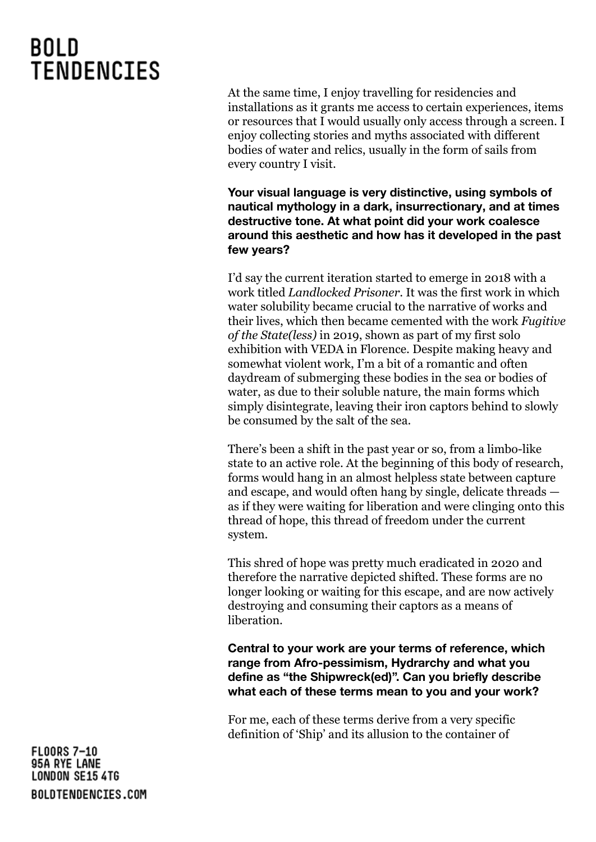At the same time, I enjoy travelling for residencies and installations as it grants me access to certain experiences, items or resources that I would usually only access through a screen. I enjoy collecting stories and myths associated with different bodies of water and relics, usually in the form of sails from every country I visit.

**Your visual language is very distinctive, using symbols of nautical mythology in a dark, insurrectionary, and at times destructive tone. At what point did your work coalesce around this aesthetic and how has it developed in the past few years?**

I'd say the current iteration started to emerge in 2018 with a work titled *Landlocked Prisoner*. It was the first work in which water solubility became crucial to the narrative of works and their lives, which then became cemented with the work *Fugitive of the State(less)* in 2019, shown as part of my first solo exhibition with VEDA in Florence. Despite making heavy and somewhat violent work, I'm a bit of a romantic and often daydream of submerging these bodies in the sea or bodies of water, as due to their soluble nature, the main forms which simply disintegrate, leaving their iron captors behind to slowly be consumed by the salt of the sea.

There's been a shift in the past year or so, from a limbo-like state to an active role. At the beginning of this body of research, forms would hang in an almost helpless state between capture and escape, and would often hang by single, delicate threads as if they were waiting for liberation and were clinging onto this thread of hope, this thread of freedom under the current system.

This shred of hope was pretty much eradicated in 2020 and therefore the narrative depicted shifted. These forms are no longer looking or waiting for this escape, and are now actively destroying and consuming their captors as a means of liberation.

**Central to your work are your terms of reference, which range from Afro-pessimism, Hydrarchy and what you define as "the Shipwreck(ed)". Can you briefly describe what each of these terms mean to you and your work?**

For me, each of these terms derive from a very specific definition of 'Ship' and its allusion to the container of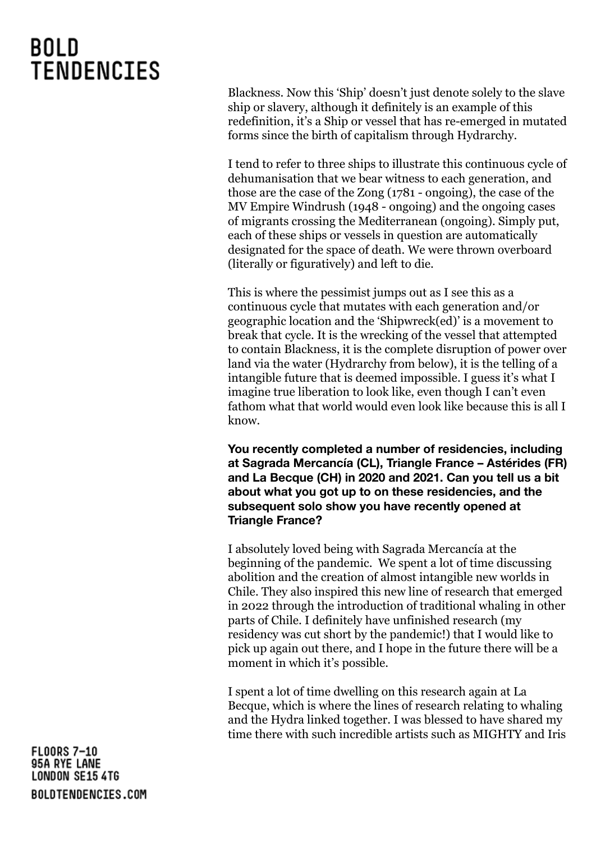Blackness. Now this 'Ship' doesn't just denote solely to the slave ship or slavery, although it definitely is an example of this redefinition, it's a Ship or vessel that has re-emerged in mutated forms since the birth of capitalism through Hydrarchy.

I tend to refer to three ships to illustrate this continuous cycle of dehumanisation that we bear witness to each generation, and those are the case of the Zong (1781 - ongoing), the case of the MV Empire Windrush (1948 - ongoing) and the ongoing cases of migrants crossing the Mediterranean (ongoing). Simply put, each of these ships or vessels in question are automatically designated for the space of death. We were thrown overboard (literally or figuratively) and left to die.

This is where the pessimist jumps out as I see this as a continuous cycle that mutates with each generation and/or geographic location and the 'Shipwreck(ed)' is a movement to break that cycle. It is the wrecking of the vessel that attempted to contain Blackness, it is the complete disruption of power over land via the water (Hydrarchy from below), it is the telling of a intangible future that is deemed impossible. I guess it's what I imagine true liberation to look like, even though I can't even fathom what that world would even look like because this is all I know.

**You recently completed a number of residencies, including at Sagrada Mercancía (CL), Triangle France – Astérides (FR) and La Becque (CH) in 2020 and 2021. Can you tell us a bit about what you got up to on these residencies, and the subsequent solo show you have recently opened at Triangle France?**

I absolutely loved being with Sagrada Mercancía at the beginning of the pandemic. We spent a lot of time discussing abolition and the creation of almost intangible new worlds in Chile. They also inspired this new line of research that emerged in 2022 through the introduction of traditional whaling in other parts of Chile. I definitely have unfinished research (my residency was cut short by the pandemic!) that I would like to pick up again out there, and I hope in the future there will be a moment in which it's possible.

I spent a lot of time dwelling on this research again at La Becque, which is where the lines of research relating to whaling and the Hydra linked together. I was blessed to have shared my time there with such incredible artists such as MIGHTY and Iris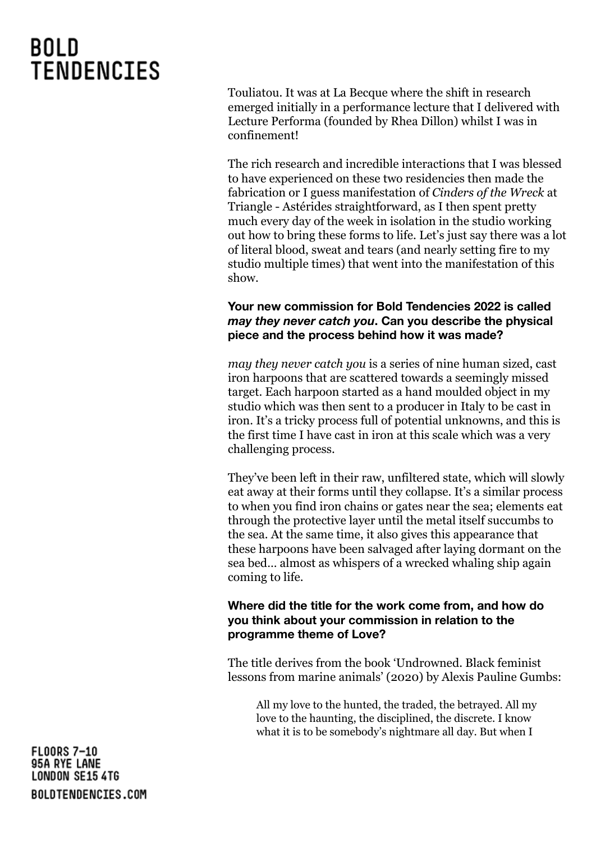Touliatou. It was at La Becque where the shift in research emerged initially in a performance lecture that I delivered with Lecture Performa (founded by Rhea Dillon) whilst I was in confinement!

The rich research and incredible interactions that I was blessed to have experienced on these two residencies then made the fabrication or I guess manifestation of *Cinders of the Wreck* at Triangle - Astérides straightforward, as I then spent pretty much every day of the week in isolation in the studio working out how to bring these forms to life. Let's just say there was a lot of literal blood, sweat and tears (and nearly setting fire to my studio multiple times) that went into the manifestation of this show.

### **Your new commission for Bold Tendencies 2022 is called** *may they never catch you***. Can you describe the physical piece and the process behind how it was made?**

*may they never catch you* is a series of nine human sized, cast iron harpoons that are scattered towards a seemingly missed target. Each harpoon started as a hand moulded object in my studio which was then sent to a producer in Italy to be cast in iron. It's a tricky process full of potential unknowns, and this is the first time I have cast in iron at this scale which was a very challenging process.

They've been left in their raw, unfiltered state, which will slowly eat away at their forms until they collapse. It's a similar process to when you find iron chains or gates near the sea; elements eat through the protective layer until the metal itself succumbs to the sea. At the same time, it also gives this appearance that these harpoons have been salvaged after laying dormant on the sea bed… almost as whispers of a wrecked whaling ship again coming to life.

### **Where did the title for the work come from, and how do you think about your commission in relation to the programme theme of Love?**

The title derives from the book 'Undrowned. Black feminist lessons from marine animals' (2020) by Alexis Pauline Gumbs:

All my love to the hunted, the traded, the betrayed. All my love to the haunting, the disciplined, the discrete. I know what it is to be somebody's nightmare all day. But when I